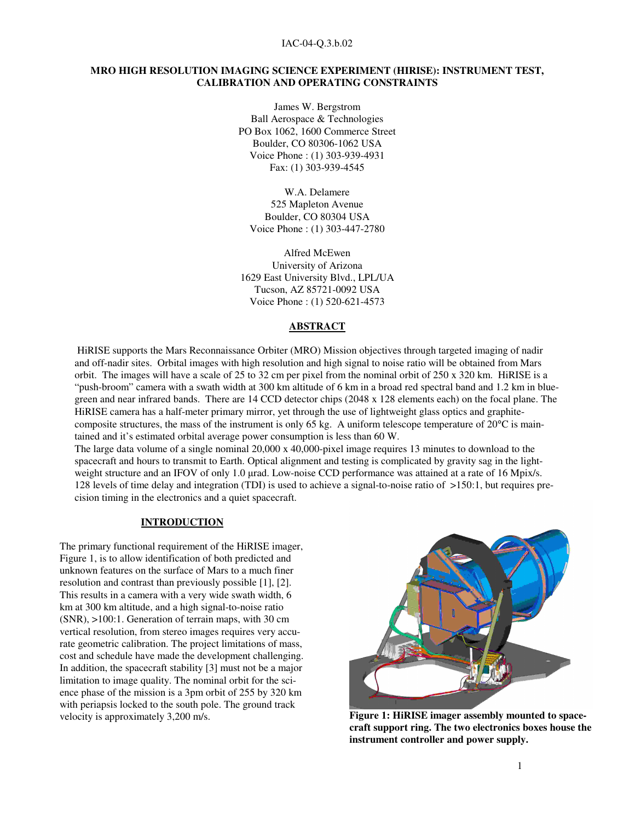### IAC-04-Q.3.b.02

## **MRO HIGH RESOLUTION IMAGING SCIENCE EXPERIMENT (HIRISE): INSTRUMENT TEST, CALIBRATION AND OPERATING CONSTRAINTS**

James W. Bergstrom Ball Aerospace & Technologies PO Box 1062, 1600 Commerce Street Boulder, CO 80306-1062 USA Voice Phone : (1) 303-939-4931 Fax: (1) 303-939-4545

W.A. Delamere 525 Mapleton Avenue Boulder, CO 80304 USA Voice Phone : (1) 303-447-2780

Alfred McEwen University of Arizona 1629 East University Blvd., LPL/UA Tucson, AZ 85721-0092 USA Voice Phone : (1) 520-621-4573

### **ABSTRACT**

HiRISE supports the Mars Reconnaissance Orbiter (MRO) Mission objectives through targeted imaging of nadir and off-nadir sites. Orbital images with high resolution and high signal to noise ratio will be obtained from Mars orbit. The images will have a scale of 25 to 32 cm per pixel from the nominal orbit of 250 x 320 km. HiRISE is a "push-broom" camera with a swath width at 300 km altitude of 6 km in a broad red spectral band and 1.2 km in bluegreen and near infrared bands. There are 14 CCD detector chips (2048 x 128 elements each) on the focal plane. The HiRISE camera has a half-meter primary mirror, yet through the use of lightweight glass optics and graphitecomposite structures, the mass of the instrument is only 65 kg. A uniform telescope temperature of  $20^{\circ}$ C is maintained and it's estimated orbital average power consumption is less than 60 W.

The large data volume of a single nominal 20,000 x 40,000-pixel image requires 13 minutes to download to the spacecraft and hours to transmit to Earth. Optical alignment and testing is complicated by gravity sag in the lightweight structure and an IFOV of only 1.0 µrad. Low-noise CCD performance was attained at a rate of 16 Mpix/s. 128 levels of time delay and integration (TDI) is used to achieve a signal-to-noise ratio of >150:1, but requires precision timing in the electronics and a quiet spacecraft.

### **INTRODUCTION**

The primary functional requirement of the HiRISE imager, Figure 1, is to allow identification of both predicted and unknown features on the surface of Mars to a much finer resolution and contrast than previously possible [1], [2]. This results in a camera with a very wide swath width, 6 km at 300 km altitude, and a high signal-to-noise ratio (SNR), >100:1. Generation of terrain maps, with 30 cm vertical resolution, from stereo images requires very accurate geometric calibration. The project limitations of mass, cost and schedule have made the development challenging. In addition, the spacecraft stability [3] must not be a major limitation to image quality. The nominal orbit for the science phase of the mission is a 3pm orbit of 255 by 320 km with periapsis locked to the south pole. The ground track velocity is approximately 3,200 m/s. **Figure 1: HiRISE imager assembly mounted to space-**



**craft support ring. The two electronics boxes house the instrument controller and power supply.**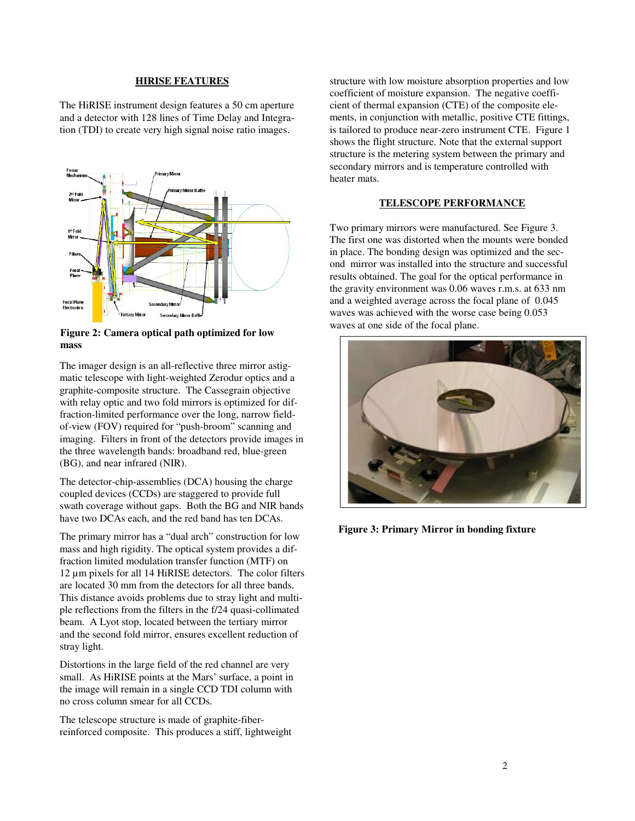### **HIRISE FEATURES**

The HiRISE instrument design features a 50 cm aperture and a detector with 128 lines of Time Delay and Integration (TDI) to create very high signal noise ratio images.



**Figure 2: Camera optical path optimized for low mass**

The imager design is an all-reflective three mirror astigmatic telescope with light-weighted Zerodur optics and a graphite-composite structure. The Cassegrain objective with relay optic and two fold mirrors is optimized for diffraction-limited performance over the long, narrow fieldof-view (FOV) required for "push-broom" scanning and imaging. Filters in front of the detectors provide images in the three wavelength bands: broadband red, blue-green (BG), and near infrared (NIR).

The detector-chip-assemblies (DCA) housing the charge coupled devices (CCDs) are staggered to provide full swath coverage without gaps. Both the BG and NIR bands have two DCAs each, and the red band has ten DCAs.

The primary mirror has a "dual arch" construction for low mass and high rigidity. The optical system provides a diffraction limited modulation transfer function (MTF) on 12 µm pixels for all 14 HiRISE detectors. The color filters are located 30 mm from the detectors for all three bands. This distance avoids problems due to stray light and multiple reflections from the filters in the f/24 quasi-collimated beam. A Lyot stop, located between the tertiary mirror and the second fold mirror, ensures excellent reduction of stray light.

Distortions in the large field of the red channel are very small. As HiRISE points at the Mars' surface, a point in the image will remain in a single CCD TDI column with no cross column smear for all CCDs.

The telescope structure is made of graphite-fiberreinforced composite. This produces a stiff, lightweight structure with low moisture absorption properties and low coefficient of moisture expansion. The negative coefficient of thermal expansion (CTE) of the composite elements, in conjunction with metallic, positive CTE fittings, is tailored to produce near-zero instrument CTE. Figure 1 shows the flight structure. Note that the external support structure is the metering system between the primary and secondary mirrors and is temperature controlled with heater mats.

### **TELESCOPE PERFORMANCE**

Two primary mirrors were manufactured. See Figure 3. The first one was distorted when the mounts were bonded in place. The bonding design was optimized and the second mirror was installed into the structure and successful results obtained. The goal for the optical performance in the gravity environment was 0.06 waves r.m.s. at 633 nm and a weighted average across the focal plane of 0.045 waves was achieved with the worse case being 0.053 waves at one side of the focal plane.



**Figure 3: Primary Mirror in bonding fixture**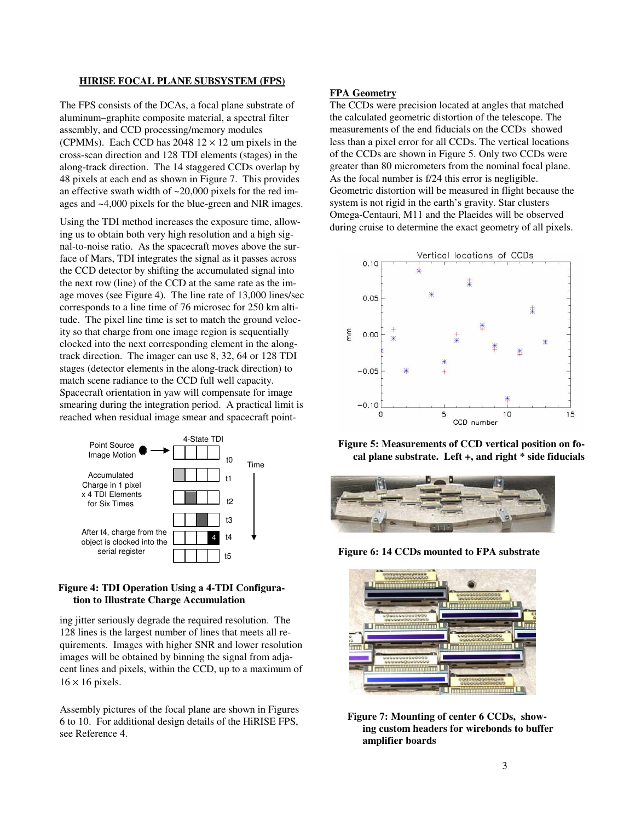### **HIRISE FOCAL PLANE SUBSYSTEM (FPS)**

The FPS consists of the DCAs, a focal plane substrate of aluminum–graphite composite material, a spectral filter assembly, and CCD processing/memory modules (CPMMs). Each CCD has  $2048\ 12 \times 12$  um pixels in the cross-scan direction and 128 TDI elements (stages) in the along-track direction. The 14 staggered CCDs overlap by 48 pixels at each end as shown in Figure 7. This provides an effective swath width of ~20,000 pixels for the red images and ~4,000 pixels for the blue-green and NIR images.

Using the TDI method increases the exposure time, allowing us to obtain both very high resolution and a high signal-to-noise ratio. As the spacecraft moves above the surface of Mars, TDI integrates the signal as it passes across the CCD detector by shifting the accumulated signal into the next row (line) of the CCD at the same rate as the image moves (see Figure 4). The line rate of 13,000 lines/sec corresponds to a line time of 76 microsec for 250 km altitude. The pixel line time is set to match the ground velocity so that charge from one image region is sequentially clocked into the next corresponding element in the alongtrack direction. The imager can use 8, 32, 64 or 128 TDI stages (detector elements in the along-track direction) to match scene radiance to the CCD full well capacity. Spacecraft orientation in yaw will compensate for image smearing during the integration period. A practical limit is reached when residual image smear and spacecraft point-



## **Figure 4: TDI Operation Using a 4-TDI Configuration to Illustrate Charge Accumulation**

ing jitter seriously degrade the required resolution. The 128 lines is the largest number of lines that meets all requirements. Images with higher SNR and lower resolution images will be obtained by binning the signal from adjacent lines and pixels, within the CCD, up to a maximum of  $16 \times 16$  pixels.

Assembly pictures of the focal plane are shown in Figures 6 to 10. For additional design details of the HiRISE FPS, see Reference 4.

## **FPA Geometry**

The CCDs were precision located at angles that matched the calculated geometric distortion of the telescope. The measurements of the end fiducials on the CCDs showed less than a pixel error for all CCDs. The vertical locations of the CCDs are shown in Figure 5. Only two CCDs were greater than 80 micrometers from the nominal focal plane. As the focal number is f/24 this error is negligible. Geometric distortion will be measured in flight because the system is not rigid in the earth's gravity. Star clusters Omega-Centauri, M11 and the Plaeides will be observed during cruise to determine the exact geometry of all pixels.



**Figure 5: Measurements of CCD vertical position on focal plane substrate. Left +, and right \* side fiducials**



**Figure 6: 14 CCDs mounted to FPA substrate**



**Figure 7: Mounting of center 6 CCDs, showing custom headers for wirebonds to buffer amplifier boards**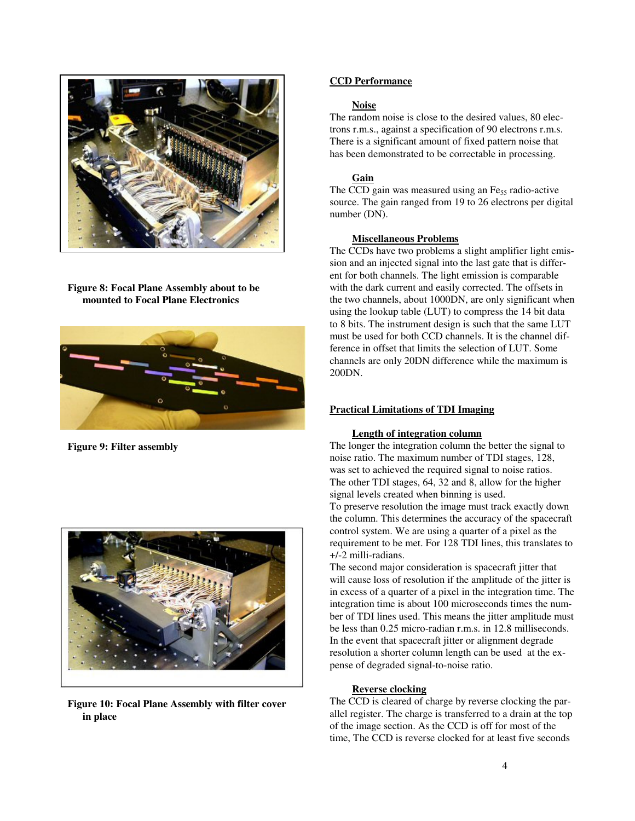

**Figure 8: Focal Plane Assembly about to be mounted to Focal Plane Electronics**



**Figure 9: Filter assembly**



**Figure 10: Focal Plane Assembly with filter cover in place**

# **CCD Performance**

## **Noise**

The random noise is close to the desired values, 80 electrons r.m.s., against a specification of 90 electrons r.m.s. There is a significant amount of fixed pattern noise that has been demonstrated to be correctable in processing.

# **Gain**

The CCD gain was measured using an Fe<sub>55</sub> radio-active source. The gain ranged from 19 to 26 electrons per digital number (DN).

## **Miscellaneous Problems**

The CCDs have two problems a slight amplifier light emission and an injected signal into the last gate that is different for both channels. The light emission is comparable with the dark current and easily corrected. The offsets in the two channels, about 1000DN, are only significant when using the lookup table (LUT) to compress the 14 bit data to 8 bits. The instrument design is such that the same LUT must be used for both CCD channels. It is the channel difference in offset that limits the selection of LUT. Some channels are only 20DN difference while the maximum is 200DN.

# **Practical Limitations of TDI Imaging**

## **Length of integration column**

The longer the integration column the better the signal to noise ratio. The maximum number of TDI stages, 128, was set to achieved the required signal to noise ratios. The other TDI stages, 64, 32 and 8, allow for the higher signal levels created when binning is used. To preserve resolution the image must track exactly down the column. This determines the accuracy of the spacecraft control system. We are using a quarter of a pixel as the requirement to be met. For 128 TDI lines, this translates to +/-2 milli-radians.

The second major consideration is spacecraft jitter that will cause loss of resolution if the amplitude of the jitter is in excess of a quarter of a pixel in the integration time. The integration time is about 100 microseconds times the number of TDI lines used. This means the jitter amplitude must be less than 0.25 micro-radian r.m.s. in 12.8 milliseconds. In the event that spacecraft jitter or alignment degrade resolution a shorter column length can be used at the expense of degraded signal-to-noise ratio.

# **Reverse clocking**

The CCD is cleared of charge by reverse clocking the parallel register. The charge is transferred to a drain at the top of the image section. As the CCD is off for most of the time, The CCD is reverse clocked for at least five seconds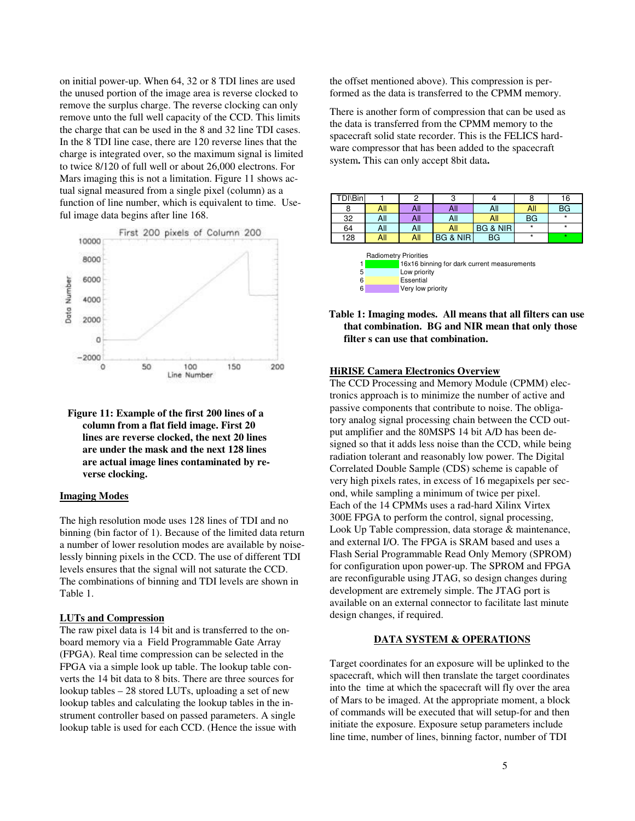on initial power-up. When 64, 32 or 8 TDI lines are used the unused portion of the image area is reverse clocked to remove the surplus charge. The reverse clocking can only remove unto the full well capacity of the CCD. This limits the charge that can be used in the 8 and 32 line TDI cases. In the 8 TDI line case, there are 120 reverse lines that the charge is integrated over, so the maximum signal is limited to twice 8/120 of full well or about 26,000 electrons. For Mars imaging this is not a limitation. Figure 11 shows actual signal measured from a single pixel (column) as a function of line number, which is equivalent to time. Useful image data begins after line 168.





### **Imaging Modes**

The high resolution mode uses 128 lines of TDI and no binning (bin factor of 1). Because of the limited data return a number of lower resolution modes are available by noiselessly binning pixels in the CCD. The use of different TDI levels ensures that the signal will not saturate the CCD. The combinations of binning and TDI levels are shown in Table 1.

#### **LUTs and Compression**

The raw pixel data is 14 bit and is transferred to the onboard memory via a Field Programmable Gate Array (FPGA). Real time compression can be selected in the FPGA via a simple look up table. The lookup table converts the 14 bit data to 8 bits. There are three sources for lookup tables – 28 stored LUTs, uploading a set of new lookup tables and calculating the lookup tables in the instrument controller based on passed parameters. A single lookup table is used for each CCD. (Hence the issue with the offset mentioned above). This compression is performed as the data is transferred to the CPMM memory.

There is another form of compression that can be used as the data is transferred from the CPMM memory to the spacecraft solid state recorder. This is the FELICS hardware compressor that has been added to the spacecraft system**.** This can only accept 8bit data**.**

| TDI\Binl                                    |                  | 2   | 3        |                     |         | 16        |  |  |
|---------------------------------------------|------------------|-----|----------|---------------------|---------|-----------|--|--|
|                                             | All              | All | All      | All                 | All     | <b>BG</b> |  |  |
| 32                                          | All              | All | All      | All                 | BG      | $\star$   |  |  |
| 64                                          | All              | All | All      | <b>BG &amp; NIR</b> | $\star$ | $\star$   |  |  |
| 128                                         | All              | All | BG & NIR | <b>BG</b>           | $\star$ | $\star$   |  |  |
| <b>Radiometry Priorities</b>                |                  |     |          |                     |         |           |  |  |
| 16x16 binning for dark current measurements |                  |     |          |                     |         |           |  |  |
| 5                                           | Low priority     |     |          |                     |         |           |  |  |
| 6                                           | <b>Essential</b> |     |          |                     |         |           |  |  |

**Table 1: Imaging modes. All means that all filters can use that combination. BG and NIR mean that only those filter s can use that combination.**

#### **HiRISE Camera Electronics Overview**

6 Very low priority

The CCD Processing and Memory Module (CPMM) electronics approach is to minimize the number of active and passive components that contribute to noise. The obligatory analog signal processing chain between the CCD output amplifier and the 80MSPS 14 bit A/D has been designed so that it adds less noise than the CCD, while being radiation tolerant and reasonably low power. The Digital Correlated Double Sample (CDS) scheme is capable of very high pixels rates, in excess of 16 megapixels per second, while sampling a minimum of twice per pixel. Each of the 14 CPMMs uses a rad-hard Xilinx Virtex 300E FPGA to perform the control, signal processing, Look Up Table compression, data storage & maintenance, and external I/O. The FPGA is SRAM based and uses a Flash Serial Programmable Read Only Memory (SPROM) for configuration upon power-up. The SPROM and FPGA are reconfigurable using JTAG, so design changes during development are extremely simple. The JTAG port is available on an external connector to facilitate last minute design changes, if required.

#### **DATA SYSTEM & OPERATIONS**

Target coordinates for an exposure will be uplinked to the spacecraft, which will then translate the target coordinates into the time at which the spacecraft will fly over the area of Mars to be imaged. At the appropriate moment, a block of commands will be executed that will setup-for and then initiate the exposure. Exposure setup parameters include line time, number of lines, binning factor, number of TDI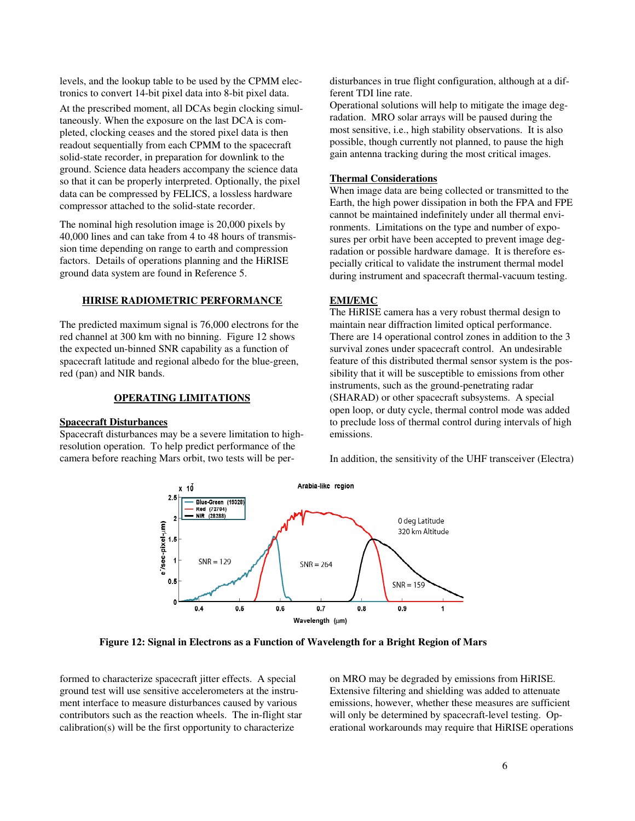levels, and the lookup table to be used by the CPMM electronics to convert 14-bit pixel data into 8-bit pixel data.

At the prescribed moment, all DCAs begin clocking simultaneously. When the exposure on the last DCA is completed, clocking ceases and the stored pixel data is then readout sequentially from each CPMM to the spacecraft solid-state recorder, in preparation for downlink to the ground. Science data headers accompany the science data so that it can be properly interpreted. Optionally, the pixel data can be compressed by FELICS, a lossless hardware compressor attached to the solid-state recorder.

The nominal high resolution image is 20,000 pixels by 40,000 lines and can take from 4 to 48 hours of transmission time depending on range to earth and compression factors. Details of operations planning and the HiRISE ground data system are found in Reference 5.

### **HIRISE RADIOMETRIC PERFORMANCE**

The predicted maximum signal is 76,000 electrons for the red channel at 300 km with no binning. Figure 12 shows the expected un-binned SNR capability as a function of spacecraft latitude and regional albedo for the blue-green, red (pan) and NIR bands.

## **OPERATING LIMITATIONS**

# **Spacecraft Disturbances**

Spacecraft disturbances may be a severe limitation to highresolution operation. To help predict performance of the camera before reaching Mars orbit, two tests will be perdisturbances in true flight configuration, although at a different TDI line rate.

Operational solutions will help to mitigate the image degradation. MRO solar arrays will be paused during the most sensitive, i.e., high stability observations. It is also possible, though currently not planned, to pause the high gain antenna tracking during the most critical images.

### **Thermal Considerations**

When image data are being collected or transmitted to the Earth, the high power dissipation in both the FPA and FPE cannot be maintained indefinitely under all thermal environments. Limitations on the type and number of exposures per orbit have been accepted to prevent image degradation or possible hardware damage. It is therefore especially critical to validate the instrument thermal model during instrument and spacecraft thermal-vacuum testing.

## **EMI/EMC**

The HiRISE camera has a very robust thermal design to maintain near diffraction limited optical performance. There are 14 operational control zones in addition to the 3 survival zones under spacecraft control. An undesirable feature of this distributed thermal sensor system is the possibility that it will be susceptible to emissions from other instruments, such as the ground-penetrating radar (SHARAD) or other spacecraft subsystems. A special open loop, or duty cycle, thermal control mode was added to preclude loss of thermal control during intervals of high emissions.

In addition, the sensitivity of the UHF transceiver (Electra)



**Figure 12: Signal in Electrons as a Function of Wavelength for a Bright Region of Mars**

formed to characterize spacecraft jitter effects. A special ground test will use sensitive accelerometers at the instrument interface to measure disturbances caused by various contributors such as the reaction wheels. The in-flight star calibration(s) will be the first opportunity to characterize

on MRO may be degraded by emissions from HiRISE. Extensive filtering and shielding was added to attenuate emissions, however, whether these measures are sufficient will only be determined by spacecraft-level testing. Operational workarounds may require that HiRISE operations